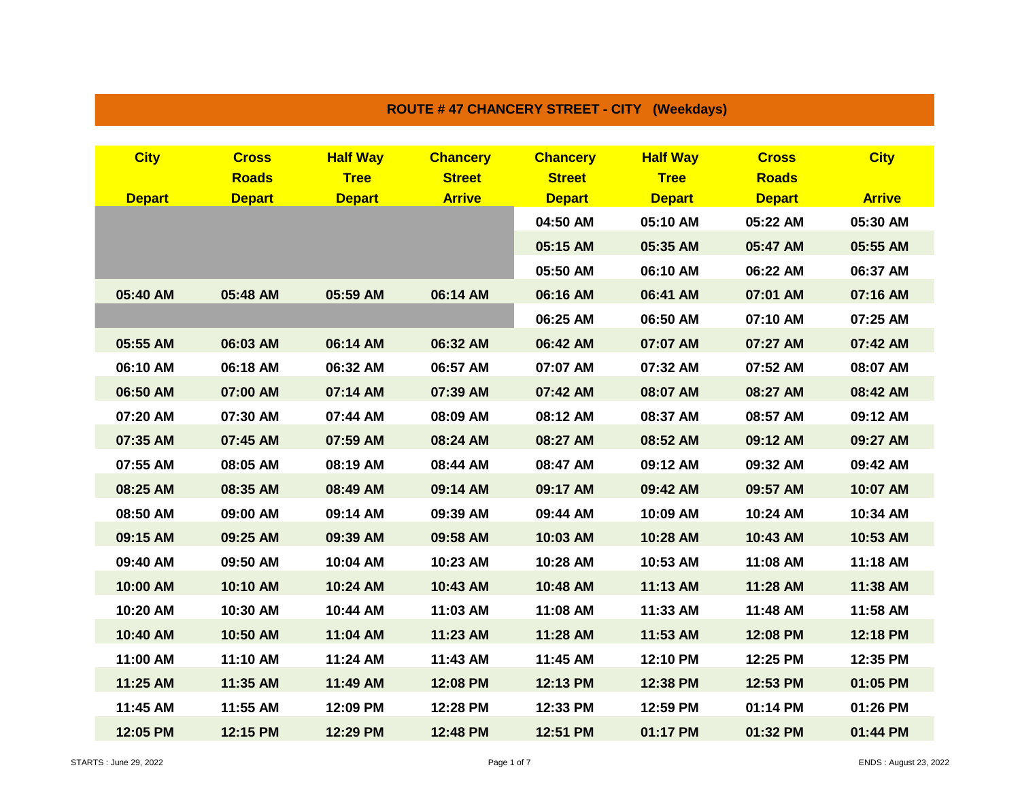| RUUTE # 47 UNANUERT STREET " UIT (WEERDAYS) |               |                 |                 |                 |                 |               |               |  |
|---------------------------------------------|---------------|-----------------|-----------------|-----------------|-----------------|---------------|---------------|--|
|                                             |               |                 |                 |                 |                 |               |               |  |
| <b>City</b>                                 | <b>Cross</b>  | <b>Half Way</b> | <b>Chancery</b> | <b>Chancery</b> | <b>Half Way</b> | <b>Cross</b>  | <b>City</b>   |  |
|                                             | <b>Roads</b>  | <b>Tree</b>     | <b>Street</b>   | <b>Street</b>   | <b>Tree</b>     | <b>Roads</b>  |               |  |
| <b>Depart</b>                               | <b>Depart</b> | <b>Depart</b>   | <b>Arrive</b>   | <b>Depart</b>   | <b>Depart</b>   | <b>Depart</b> | <b>Arrive</b> |  |
|                                             |               |                 |                 | 04:50 AM        | 05:10 AM        | 05:22 AM      | 05:30 AM      |  |
|                                             |               |                 |                 | 05:15 AM        | 05:35 AM        | 05:47 AM      | 05:55 AM      |  |
|                                             |               |                 |                 | 05:50 AM        | 06:10 AM        | 06:22 AM      | 06:37 AM      |  |
| 05:40 AM                                    | 05:48 AM      | 05:59 AM        | 06:14 AM        | 06:16 AM        | 06:41 AM        | 07:01 AM      | 07:16 AM      |  |
|                                             |               |                 |                 | 06:25 AM        | 06:50 AM        | 07:10 AM      | 07:25 AM      |  |
| 05:55 AM                                    | 06:03 AM      | 06:14 AM        | 06:32 AM        | 06:42 AM        | 07:07 AM        | 07:27 AM      | 07:42 AM      |  |
| 06:10 AM                                    | 06:18 AM      | 06:32 AM        | 06:57 AM        | 07:07 AM        | 07:32 AM        | 07:52 AM      | 08:07 AM      |  |
| 06:50 AM                                    | 07:00 AM      | 07:14 AM        | 07:39 AM        | 07:42 AM        | 08:07 AM        | 08:27 AM      | 08:42 AM      |  |
| 07:20 AM                                    | 07:30 AM      | 07:44 AM        | 08:09 AM        | 08:12 AM        | 08:37 AM        | 08:57 AM      | 09:12 AM      |  |
| 07:35 AM                                    | 07:45 AM      | 07:59 AM        | 08:24 AM        | 08:27 AM        | 08:52 AM        | 09:12 AM      | 09:27 AM      |  |
| 07:55 AM                                    | 08:05 AM      | 08:19 AM        | 08:44 AM        | 08:47 AM        | 09:12 AM        | 09:32 AM      | 09:42 AM      |  |
| 08:25 AM                                    | 08:35 AM      | 08:49 AM        | 09:14 AM        | 09:17 AM        | 09:42 AM        | 09:57 AM      | 10:07 AM      |  |
| 08:50 AM                                    | 09:00 AM      | 09:14 AM        | 09:39 AM        | 09:44 AM        | 10:09 AM        | 10:24 AM      | 10:34 AM      |  |
| 09:15 AM                                    | 09:25 AM      | 09:39 AM        | 09:58 AM        | 10:03 AM        | 10:28 AM        | 10:43 AM      | 10:53 AM      |  |
| 09:40 AM                                    | 09:50 AM      | 10:04 AM        | 10:23 AM        | 10:28 AM        | 10:53 AM        | 11:08 AM      | 11:18 AM      |  |
| 10:00 AM                                    | 10:10 AM      | 10:24 AM        | 10:43 AM        | 10:48 AM        | 11:13 AM        | 11:28 AM      | 11:38 AM      |  |
| 10:20 AM                                    | 10:30 AM      | 10:44 AM        | 11:03 AM        | 11:08 AM        | 11:33 AM        | 11:48 AM      | 11:58 AM      |  |
| 10:40 AM                                    | 10:50 AM      | 11:04 AM        | 11:23 AM        | 11:28 AM        | 11:53 AM        | 12:08 PM      | 12:18 PM      |  |
| 11:00 AM                                    | 11:10 AM      | 11:24 AM        | 11:43 AM        | 11:45 AM        | 12:10 PM        | 12:25 PM      | 12:35 PM      |  |
| 11:25 AM                                    | 11:35 AM      | 11:49 AM        | 12:08 PM        | 12:13 PM        | 12:38 PM        | 12:53 PM      | 01:05 PM      |  |
| 11:45 AM                                    | 11:55 AM      | 12:09 PM        | 12:28 PM        | 12:33 PM        | 12:59 PM        | 01:14 PM      | 01:26 PM      |  |
| 12:05 PM                                    | 12:15 PM      | 12:29 PM        | 12:48 PM        | 12:51 PM        | 01:17 PM        | 01:32 PM      | 01:44 PM      |  |

**ROUTE # 47 CHANCERY STREET - CITY (Weekdays)**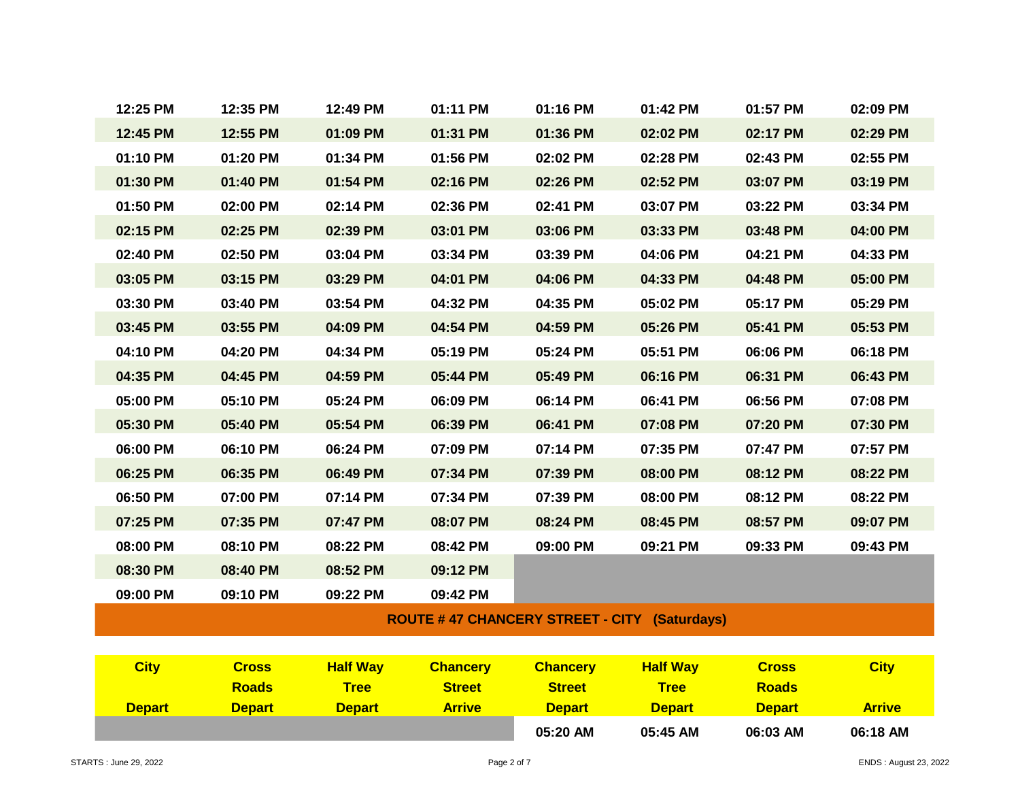| 12:25 PM                                            | 12:35 PM     | 12:49 PM        | 01:11 PM        | 01:16 PM        | 01:42 PM        | 01:57 PM     | 02:09 PM    |  |
|-----------------------------------------------------|--------------|-----------------|-----------------|-----------------|-----------------|--------------|-------------|--|
| 12:45 PM                                            | 12:55 PM     | 01:09 PM        | 01:31 PM        | 01:36 PM        | 02:02 PM        | 02:17 PM     | 02:29 PM    |  |
| 01:10 PM                                            | 01:20 PM     | 01:34 PM        | 01:56 PM        | 02:02 PM        | 02:28 PM        | 02:43 PM     | 02:55 PM    |  |
| 01:30 PM                                            | 01:40 PM     | 01:54 PM        | 02:16 PM        | 02:26 PM        | 02:52 PM        | 03:07 PM     | 03:19 PM    |  |
| 01:50 PM                                            | 02:00 PM     | 02:14 PM        | 02:36 PM        | 02:41 PM        | 03:07 PM        | 03:22 PM     | 03:34 PM    |  |
| 02:15 PM                                            | 02:25 PM     | 02:39 PM        | 03:01 PM        | 03:06 PM        | 03:33 PM        | 03:48 PM     | 04:00 PM    |  |
| 02:40 PM                                            | 02:50 PM     | 03:04 PM        | 03:34 PM        | 03:39 PM        | 04:06 PM        | 04:21 PM     | 04:33 PM    |  |
| 03:05 PM                                            | 03:15 PM     | 03:29 PM        | 04:01 PM        | 04:06 PM        | 04:33 PM        | 04:48 PM     | 05:00 PM    |  |
| 03:30 PM                                            | 03:40 PM     | 03:54 PM        | 04:32 PM        | 04:35 PM        | 05:02 PM        | 05:17 PM     | 05:29 PM    |  |
| 03:45 PM                                            | 03:55 PM     | 04:09 PM        | 04:54 PM        | 04:59 PM        | 05:26 PM        | 05:41 PM     | 05:53 PM    |  |
| 04:10 PM                                            | 04:20 PM     | 04:34 PM        | 05:19 PM        | 05:24 PM        | 05:51 PM        | 06:06 PM     | 06:18 PM    |  |
| 04:35 PM                                            | 04:45 PM     | 04:59 PM        | 05:44 PM        | 05:49 PM        | 06:16 PM        | 06:31 PM     | 06:43 PM    |  |
| 05:00 PM                                            | 05:10 PM     | 05:24 PM        | 06:09 PM        | 06:14 PM        | 06:41 PM        | 06:56 PM     | 07:08 PM    |  |
| 05:30 PM                                            | 05:40 PM     | 05:54 PM        | 06:39 PM        | 06:41 PM        | 07:08 PM        | 07:20 PM     | 07:30 PM    |  |
| 06:00 PM                                            | 06:10 PM     | 06:24 PM        | 07:09 PM        | 07:14 PM        | 07:35 PM        | 07:47 PM     | 07:57 PM    |  |
| 06:25 PM                                            | 06:35 PM     | 06:49 PM        | 07:34 PM        | 07:39 PM        | 08:00 PM        | 08:12 PM     | 08:22 PM    |  |
| 06:50 PM                                            | 07:00 PM     | 07:14 PM        | 07:34 PM        | 07:39 PM        | 08:00 PM        | 08:12 PM     | 08:22 PM    |  |
| 07:25 PM                                            | 07:35 PM     | 07:47 PM        | 08:07 PM        | 08:24 PM        | 08:45 PM        | 08:57 PM     | 09:07 PM    |  |
| 08:00 PM                                            | 08:10 PM     | 08:22 PM        | 08:42 PM        | 09:00 PM        | 09:21 PM        | 09:33 PM     | 09:43 PM    |  |
| 08:30 PM                                            | 08:40 PM     | 08:52 PM        | 09:12 PM        |                 |                 |              |             |  |
| 09:00 PM                                            | 09:10 PM     | 09:22 PM        | 09:42 PM        |                 |                 |              |             |  |
| <b>ROUTE #47 CHANCERY STREET - CITY (Saturdays)</b> |              |                 |                 |                 |                 |              |             |  |
|                                                     |              |                 |                 |                 |                 |              |             |  |
| <b>City</b>                                         | <b>Cross</b> | <b>Half Way</b> | <b>Chancery</b> | <b>Chancery</b> | <b>Half Way</b> | <b>Cross</b> | <b>City</b> |  |
|                                                     | <b>Roads</b> | <b>Tree</b>     | <b>Street</b>   | <b>Street</b>   | <b>Tree</b>     | <b>Roads</b> |             |  |

| City          | <b>Cross</b>  | <b>Half Wav</b> | <b>Chancery</b> | <b>Chancery</b> | <b>Half Wav</b> | <b>Cross</b>  | <b>City</b>   |
|---------------|---------------|-----------------|-----------------|-----------------|-----------------|---------------|---------------|
|               | <b>Roads</b>  | <b>Tree</b>     | <b>Street</b>   | <b>Street</b>   | <b>Tree</b>     | <b>Roads</b>  |               |
| <b>Depart</b> | <b>Depart</b> | <b>Depart</b>   | <b>Arrive</b>   | <b>Depart</b>   | <b>Depart</b>   | <b>Depart</b> | <b>Arrive</b> |
|               |               |                 |                 | 05:20 AM        | 05:45 AM        | 06:03 AM      | 06:18 AM      |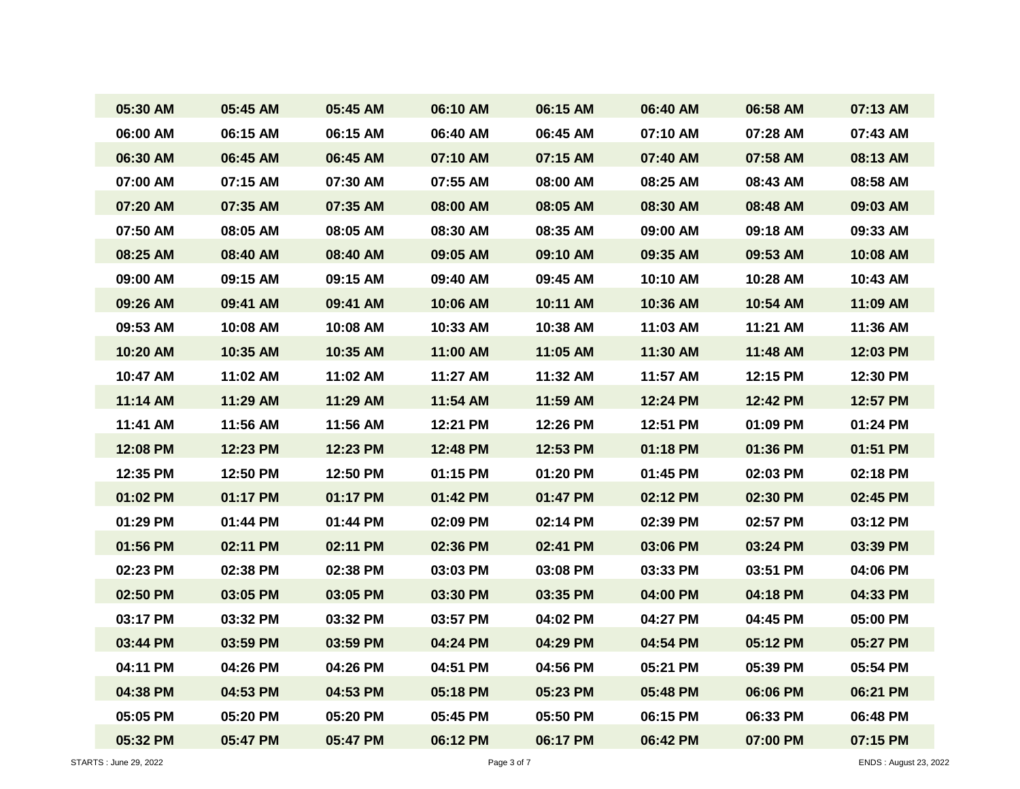| 05:30 AM | 05:45 AM | 05:45 AM | 06:10 AM | 06:15 AM | 06:40 AM | 06:58 AM | 07:13 AM |
|----------|----------|----------|----------|----------|----------|----------|----------|
| 06:00 AM | 06:15 AM | 06:15 AM | 06:40 AM | 06:45 AM | 07:10 AM | 07:28 AM | 07:43 AM |
| 06:30 AM | 06:45 AM | 06:45 AM | 07:10 AM | 07:15 AM | 07:40 AM | 07:58 AM | 08:13 AM |
| 07:00 AM | 07:15 AM | 07:30 AM | 07:55 AM | 08:00 AM | 08:25 AM | 08:43 AM | 08:58 AM |
| 07:20 AM | 07:35 AM | 07:35 AM | 08:00 AM | 08:05 AM | 08:30 AM | 08:48 AM | 09:03 AM |
| 07:50 AM | 08:05 AM | 08:05 AM | 08:30 AM | 08:35 AM | 09:00 AM | 09:18 AM | 09:33 AM |
| 08:25 AM | 08:40 AM | 08:40 AM | 09:05 AM | 09:10 AM | 09:35 AM | 09:53 AM | 10:08 AM |
| 09:00 AM | 09:15 AM | 09:15 AM | 09:40 AM | 09:45 AM | 10:10 AM | 10:28 AM | 10:43 AM |
| 09:26 AM | 09:41 AM | 09:41 AM | 10:06 AM | 10:11 AM | 10:36 AM | 10:54 AM | 11:09 AM |
| 09:53 AM | 10:08 AM | 10:08 AM | 10:33 AM | 10:38 AM | 11:03 AM | 11:21 AM | 11:36 AM |
| 10:20 AM | 10:35 AM | 10:35 AM | 11:00 AM | 11:05 AM | 11:30 AM | 11:48 AM | 12:03 PM |
| 10:47 AM | 11:02 AM | 11:02 AM | 11:27 AM | 11:32 AM | 11:57 AM | 12:15 PM | 12:30 PM |
| 11:14 AM | 11:29 AM | 11:29 AM | 11:54 AM | 11:59 AM | 12:24 PM | 12:42 PM | 12:57 PM |
| 11:41 AM | 11:56 AM | 11:56 AM | 12:21 PM | 12:26 PM | 12:51 PM | 01:09 PM | 01:24 PM |
| 12:08 PM | 12:23 PM | 12:23 PM | 12:48 PM | 12:53 PM | 01:18 PM | 01:36 PM | 01:51 PM |
| 12:35 PM | 12:50 PM | 12:50 PM | 01:15 PM | 01:20 PM | 01:45 PM | 02:03 PM | 02:18 PM |
| 01:02 PM | 01:17 PM | 01:17 PM | 01:42 PM | 01:47 PM | 02:12 PM | 02:30 PM | 02:45 PM |
| 01:29 PM | 01:44 PM | 01:44 PM | 02:09 PM | 02:14 PM | 02:39 PM | 02:57 PM | 03:12 PM |
| 01:56 PM | 02:11 PM | 02:11 PM | 02:36 PM | 02:41 PM | 03:06 PM | 03:24 PM | 03:39 PM |
| 02:23 PM | 02:38 PM | 02:38 PM | 03:03 PM | 03:08 PM | 03:33 PM | 03:51 PM | 04:06 PM |
| 02:50 PM | 03:05 PM | 03:05 PM | 03:30 PM | 03:35 PM | 04:00 PM | 04:18 PM | 04:33 PM |
| 03:17 PM | 03:32 PM | 03:32 PM | 03:57 PM | 04:02 PM | 04:27 PM | 04:45 PM | 05:00 PM |
| 03:44 PM | 03:59 PM | 03:59 PM | 04:24 PM | 04:29 PM | 04:54 PM | 05:12 PM | 05:27 PM |
| 04:11 PM | 04:26 PM | 04:26 PM | 04:51 PM | 04:56 PM | 05:21 PM | 05:39 PM | 05:54 PM |
| 04:38 PM | 04:53 PM | 04:53 PM | 05:18 PM | 05:23 PM | 05:48 PM | 06:06 PM | 06:21 PM |
| 05:05 PM | 05:20 PM | 05:20 PM | 05:45 PM | 05:50 PM | 06:15 PM | 06:33 PM | 06:48 PM |
| 05:32 PM | 05:47 PM | 05:47 PM | 06:12 PM | 06:17 PM | 06:42 PM | 07:00 PM | 07:15 PM |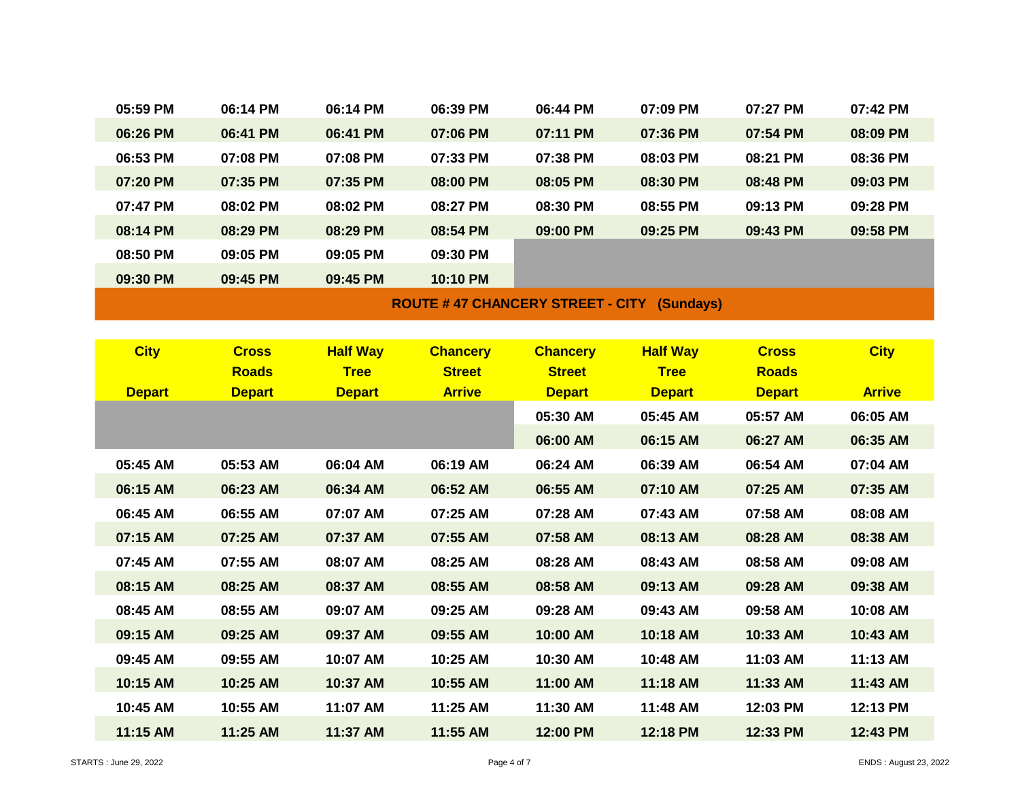| 05:59 PM                                             | 06:14 PM | 06:14 PM | 06:39 PM | 06:44 PM | 07:09 PM | $07:27$ PM | 07:42 PM |  |
|------------------------------------------------------|----------|----------|----------|----------|----------|------------|----------|--|
| 06:26 PM                                             | 06:41 PM | 06:41 PM | 07:06 PM | 07:11 PM | 07:36 PM | 07:54 PM   | 08:09 PM |  |
| 06:53 PM                                             | 07:08 PM | 07:08 PM | 07:33 PM | 07:38 PM | 08:03 PM | 08:21 PM   | 08:36 PM |  |
| 07:20 PM                                             | 07:35 PM | 07:35 PM | 08:00 PM | 08:05 PM | 08:30 PM | 08:48 PM   | 09:03 PM |  |
| 07:47 PM                                             | 08:02 PM | 08:02 PM | 08:27 PM | 08:30 PM | 08:55 PM | 09:13 PM   | 09:28 PM |  |
| 08:14 PM                                             | 08:29 PM | 08:29 PM | 08:54 PM | 09:00 PM | 09:25 PM | 09:43 PM   | 09:58 PM |  |
| 08:50 PM                                             | 09:05 PM | 09:05 PM | 09:30 PM |          |          |            |          |  |
| 09:30 PM                                             | 09:45 PM | 09:45 PM | 10:10 PM |          |          |            |          |  |
| <b>ROUTE #47 CHANCERY STREET - CITY</b><br>(Sundays) |          |          |          |          |          |            |          |  |

| <b>City</b>   | <b>Cross</b><br><b>Roads</b> | <b>Half Way</b><br><b>Tree</b> | <b>Chancery</b><br><b>Street</b> | <b>Chancery</b><br><b>Street</b> | <b>Half Way</b><br><b>Tree</b> | <b>Cross</b><br><b>Roads</b> | <b>City</b>   |
|---------------|------------------------------|--------------------------------|----------------------------------|----------------------------------|--------------------------------|------------------------------|---------------|
| <b>Depart</b> | <b>Depart</b>                | <b>Depart</b>                  | <b>Arrive</b>                    | <b>Depart</b>                    | <b>Depart</b>                  | <b>Depart</b>                | <b>Arrive</b> |
|               |                              |                                |                                  | 05:30 AM                         | 05:45 AM                       | 05:57 AM                     | 06:05 AM      |
|               |                              |                                |                                  | 06:00 AM                         | 06:15 AM                       | 06:27 AM                     | 06:35 AM      |
| 05:45 AM      | 05:53 AM                     | 06:04 AM                       | 06:19 AM                         | 06:24 AM                         | 06:39 AM                       | 06:54 AM                     | 07:04 AM      |
| 06:15 AM      | 06:23 AM                     | 06:34 AM                       | 06:52 AM                         | 06:55 AM                         | 07:10 AM                       | 07:25 AM                     | 07:35 AM      |
| 06:45 AM      | 06:55 AM                     | 07:07 AM                       | 07:25 AM                         | 07:28 AM                         | 07:43 AM                       | 07:58 AM                     | 08:08 AM      |
| 07:15 AM      | 07:25 AM                     | 07:37 AM                       | 07:55 AM                         | 07:58 AM                         | 08:13 AM                       | 08:28 AM                     | 08:38 AM      |
| 07:45 AM      | 07:55 AM                     | 08:07 AM                       | 08:25 AM                         | 08:28 AM                         | 08:43 AM                       | 08:58 AM                     | 09:08 AM      |
| 08:15 AM      | 08:25 AM                     | 08:37 AM                       | 08:55 AM                         | 08:58 AM                         | 09:13 AM                       | 09:28 AM                     | 09:38 AM      |
| 08:45 AM      | 08:55 AM                     | 09:07 AM                       | 09:25 AM                         | 09:28 AM                         | 09:43 AM                       | 09:58 AM                     | 10:08 AM      |
| 09:15 AM      | 09:25 AM                     | 09:37 AM                       | 09:55 AM                         | 10:00 AM                         | 10:18 AM                       | 10:33 AM                     | 10:43 AM      |
| 09:45 AM      | 09:55 AM                     | 10:07 AM                       | 10:25 AM                         | 10:30 AM                         | 10:48 AM                       | 11:03 AM                     | 11:13 AM      |
| 10:15 AM      | 10:25 AM                     | 10:37 AM                       | 10:55 AM                         | 11:00 AM                         | 11:18 AM                       | 11:33 AM                     | 11:43 AM      |
| 10:45 AM      | 10:55 AM                     | 11:07 AM                       | 11:25 AM                         | 11:30 AM                         | 11:48 AM                       | 12:03 PM                     | 12:13 PM      |
| 11:15 AM      | 11:25 AM                     | 11:37 AM                       | 11:55 AM                         | 12:00 PM                         | 12:18 PM                       | 12:33 PM                     | 12:43 PM      |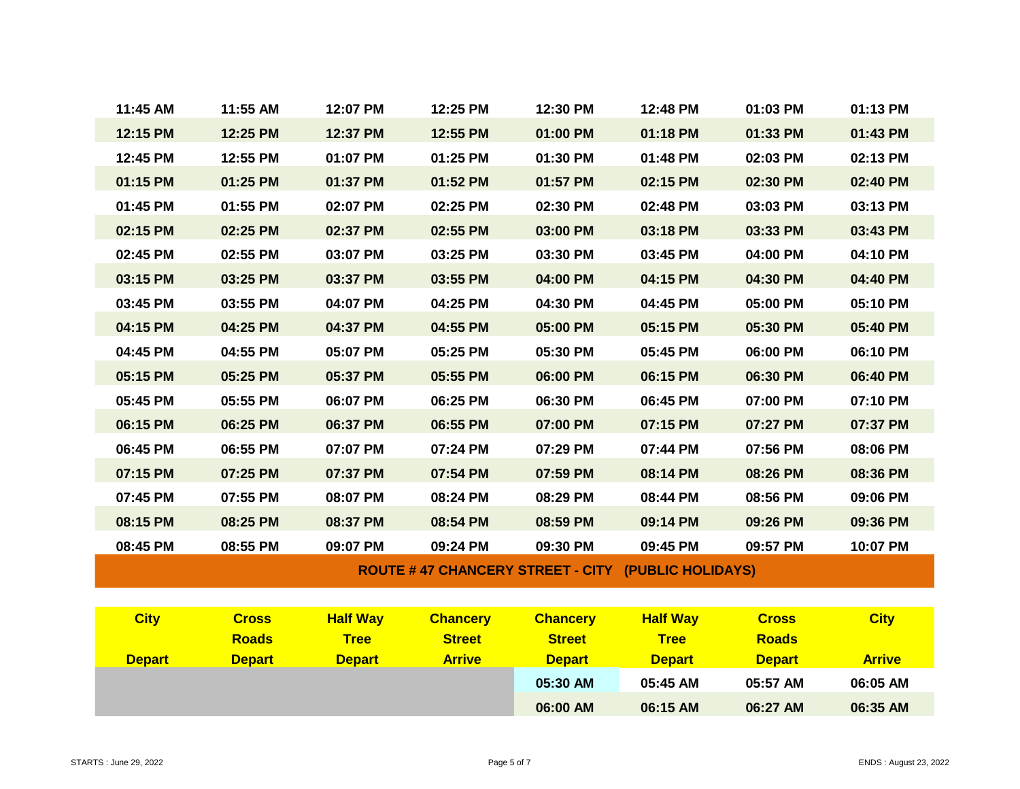| 11:45 AM                                                  | 11:55 AM | 12:07 PM | 12:25 PM | 12:30 PM | 12:48 PM | 01:03 PM | 01:13 PM |  |  |
|-----------------------------------------------------------|----------|----------|----------|----------|----------|----------|----------|--|--|
| 12:15 PM                                                  | 12:25 PM | 12:37 PM | 12:55 PM | 01:00 PM | 01:18 PM | 01:33 PM | 01:43 PM |  |  |
| 12:45 PM                                                  | 12:55 PM | 01:07 PM | 01:25 PM | 01:30 PM | 01:48 PM | 02:03 PM | 02:13 PM |  |  |
| 01:15 PM                                                  | 01:25 PM | 01:37 PM | 01:52 PM | 01:57 PM | 02:15 PM | 02:30 PM | 02:40 PM |  |  |
| 01:45 PM                                                  | 01:55 PM | 02:07 PM | 02:25 PM | 02:30 PM | 02:48 PM | 03:03 PM | 03:13 PM |  |  |
| 02:15 PM                                                  | 02:25 PM | 02:37 PM | 02:55 PM | 03:00 PM | 03:18 PM | 03:33 PM | 03:43 PM |  |  |
| 02:45 PM                                                  | 02:55 PM | 03:07 PM | 03:25 PM | 03:30 PM | 03:45 PM | 04:00 PM | 04:10 PM |  |  |
| 03:15 PM                                                  | 03:25 PM | 03:37 PM | 03:55 PM | 04:00 PM | 04:15 PM | 04:30 PM | 04:40 PM |  |  |
| 03:45 PM                                                  | 03:55 PM | 04:07 PM | 04:25 PM | 04:30 PM | 04:45 PM | 05:00 PM | 05:10 PM |  |  |
| 04:15 PM                                                  | 04:25 PM | 04:37 PM | 04:55 PM | 05:00 PM | 05:15 PM | 05:30 PM | 05:40 PM |  |  |
| 04:45 PM                                                  | 04:55 PM | 05:07 PM | 05:25 PM | 05:30 PM | 05:45 PM | 06:00 PM | 06:10 PM |  |  |
| 05:15 PM                                                  | 05:25 PM | 05:37 PM | 05:55 PM | 06:00 PM | 06:15 PM | 06:30 PM | 06:40 PM |  |  |
| 05:45 PM                                                  | 05:55 PM | 06:07 PM | 06:25 PM | 06:30 PM | 06:45 PM | 07:00 PM | 07:10 PM |  |  |
| 06:15 PM                                                  | 06:25 PM | 06:37 PM | 06:55 PM | 07:00 PM | 07:15 PM | 07:27 PM | 07:37 PM |  |  |
| 06:45 PM                                                  | 06:55 PM | 07:07 PM | 07:24 PM | 07:29 PM | 07:44 PM | 07:56 PM | 08:06 PM |  |  |
| 07:15 PM                                                  | 07:25 PM | 07:37 PM | 07:54 PM | 07:59 PM | 08:14 PM | 08:26 PM | 08:36 PM |  |  |
| 07:45 PM                                                  | 07:55 PM | 08:07 PM | 08:24 PM | 08:29 PM | 08:44 PM | 08:56 PM | 09:06 PM |  |  |
| 08:15 PM                                                  | 08:25 PM | 08:37 PM | 08:54 PM | 08:59 PM | 09:14 PM | 09:26 PM | 09:36 PM |  |  |
| 08:45 PM                                                  | 08:55 PM | 09:07 PM | 09:24 PM | 09:30 PM | 09:45 PM | 09:57 PM | 10:07 PM |  |  |
| <b>ROUTE #47 CHANCERY STREET - CITY (PUBLIC HOLIDAYS)</b> |          |          |          |          |          |          |          |  |  |

| <b>City</b>   | <b>Cross</b>  | <b>Half Way</b> | <b>Chancery</b> | <b>Chancery</b> | <b>Half Way</b> | <b>Cross</b>  | <b>City</b>   |
|---------------|---------------|-----------------|-----------------|-----------------|-----------------|---------------|---------------|
|               | <b>Roads</b>  | <b>Tree</b>     | <b>Street</b>   | <b>Street</b>   | <b>Tree</b>     | <b>Roads</b>  |               |
| <b>Depart</b> | <b>Depart</b> | <b>Depart</b>   | <b>Arrive</b>   | <b>Depart</b>   | <b>Depart</b>   | <b>Depart</b> | <b>Arrive</b> |
|               |               |                 |                 | 05:30 AM        | 05:45 AM        | 05:57 AM      | 06:05 AM      |
|               |               |                 |                 | 06:00 AM        | 06:15 AM        | 06:27 AM      | 06:35 AM      |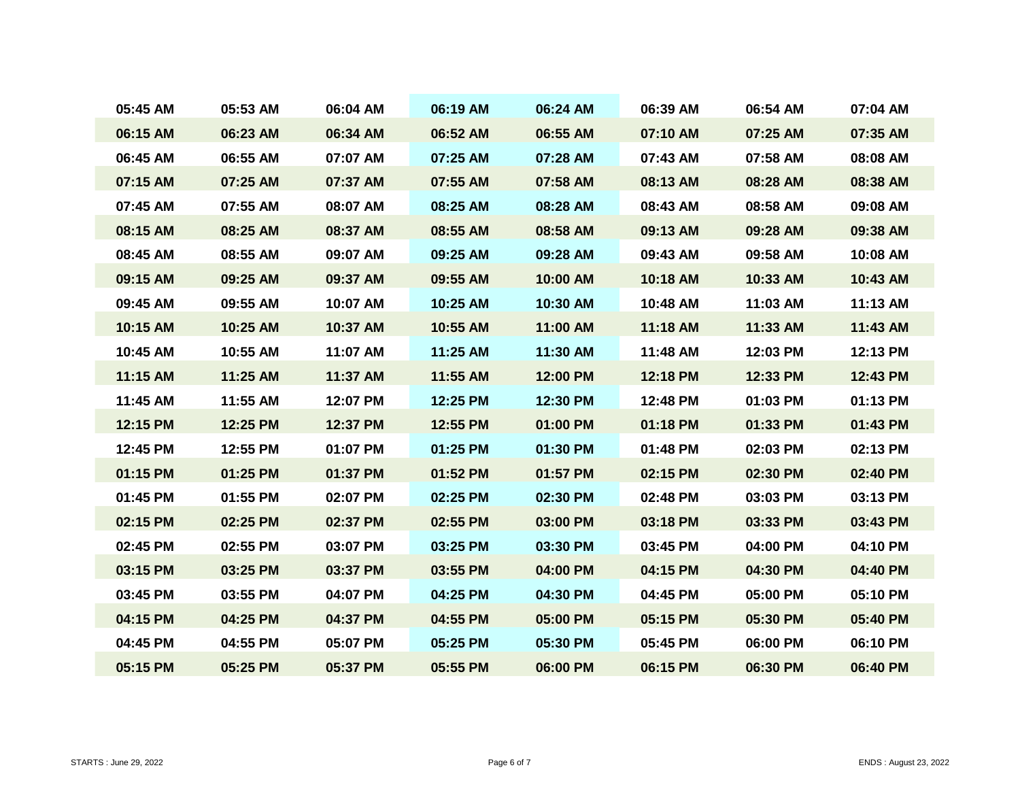| 05:45 AM | 05:53 AM | 06:04 AM | 06:19 AM | 06:24 AM | 06:39 AM | 06:54 AM | 07:04 AM |
|----------|----------|----------|----------|----------|----------|----------|----------|
| 06:15 AM | 06:23 AM | 06:34 AM | 06:52 AM | 06:55 AM | 07:10 AM | 07:25 AM | 07:35 AM |
| 06:45 AM | 06:55 AM | 07:07 AM | 07:25 AM | 07:28 AM | 07:43 AM | 07:58 AM | 08:08 AM |
| 07:15 AM | 07:25 AM | 07:37 AM | 07:55 AM | 07:58 AM | 08:13 AM | 08:28 AM | 08:38 AM |
| 07:45 AM | 07:55 AM | 08:07 AM | 08:25 AM | 08:28 AM | 08:43 AM | 08:58 AM | 09:08 AM |
| 08:15 AM | 08:25 AM | 08:37 AM | 08:55 AM | 08:58 AM | 09:13 AM | 09:28 AM | 09:38 AM |
| 08:45 AM | 08:55 AM | 09:07 AM | 09:25 AM | 09:28 AM | 09:43 AM | 09:58 AM | 10:08 AM |
| 09:15 AM | 09:25 AM | 09:37 AM | 09:55 AM | 10:00 AM | 10:18 AM | 10:33 AM | 10:43 AM |
| 09:45 AM | 09:55 AM | 10:07 AM | 10:25 AM | 10:30 AM | 10:48 AM | 11:03 AM | 11:13 AM |
| 10:15 AM | 10:25 AM | 10:37 AM | 10:55 AM | 11:00 AM | 11:18 AM | 11:33 AM | 11:43 AM |
| 10:45 AM | 10:55 AM | 11:07 AM | 11:25 AM | 11:30 AM | 11:48 AM | 12:03 PM | 12:13 PM |
| 11:15 AM | 11:25 AM | 11:37 AM | 11:55 AM | 12:00 PM | 12:18 PM | 12:33 PM | 12:43 PM |
| 11:45 AM | 11:55 AM | 12:07 PM | 12:25 PM | 12:30 PM | 12:48 PM | 01:03 PM | 01:13 PM |
| 12:15 PM | 12:25 PM | 12:37 PM | 12:55 PM | 01:00 PM | 01:18 PM | 01:33 PM | 01:43 PM |
| 12:45 PM | 12:55 PM | 01:07 PM | 01:25 PM | 01:30 PM | 01:48 PM | 02:03 PM | 02:13 PM |
| 01:15 PM | 01:25 PM | 01:37 PM | 01:52 PM | 01:57 PM | 02:15 PM | 02:30 PM | 02:40 PM |
| 01:45 PM | 01:55 PM | 02:07 PM | 02:25 PM | 02:30 PM | 02:48 PM | 03:03 PM | 03:13 PM |
| 02:15 PM | 02:25 PM | 02:37 PM | 02:55 PM | 03:00 PM | 03:18 PM | 03:33 PM | 03:43 PM |
| 02:45 PM | 02:55 PM | 03:07 PM | 03:25 PM | 03:30 PM | 03:45 PM | 04:00 PM | 04:10 PM |
| 03:15 PM | 03:25 PM | 03:37 PM | 03:55 PM | 04:00 PM | 04:15 PM | 04:30 PM | 04:40 PM |
| 03:45 PM | 03:55 PM | 04:07 PM | 04:25 PM | 04:30 PM | 04:45 PM | 05:00 PM | 05:10 PM |
| 04:15 PM | 04:25 PM | 04:37 PM | 04:55 PM | 05:00 PM | 05:15 PM | 05:30 PM | 05:40 PM |
| 04:45 PM | 04:55 PM | 05:07 PM | 05:25 PM | 05:30 PM | 05:45 PM | 06:00 PM | 06:10 PM |
| 05:15 PM | 05:25 PM | 05:37 PM | 05:55 PM | 06:00 PM | 06:15 PM | 06:30 PM | 06:40 PM |